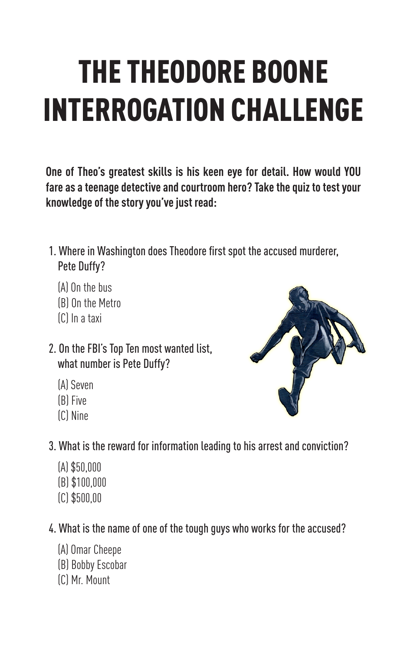# THE THEODORE BOONE INTERROGATION CHALLENGE

**One of Theo's greatest skills is his keen eye for detail. How would YOU fare as a teenage detective and courtroom hero? Take the quiz to test your knowledge of the story you've just read:**

- 1. Where in Washington does Theodore first spot the accused murderer, Pete Duffy?
	- (A) On the bus
	- (B) On the Metro
	- (C) In a taxi
- 2. On the FBI's Top Ten most wanted list, what number is Pete Duffy?
	- (A) Seven
	- (B) Five
	- (C) Nine
- 3. What is the reward for information leading to his arrest and conviction?
	- (A) \$50,000 (B) \$100,000
	- (C) \$500,00
- 4. What is the name of one of the tough guys who works for the accused?
	- (A) Omar Cheepe
	- (B) Bobby Escobar
	- (C) Mr. Mount

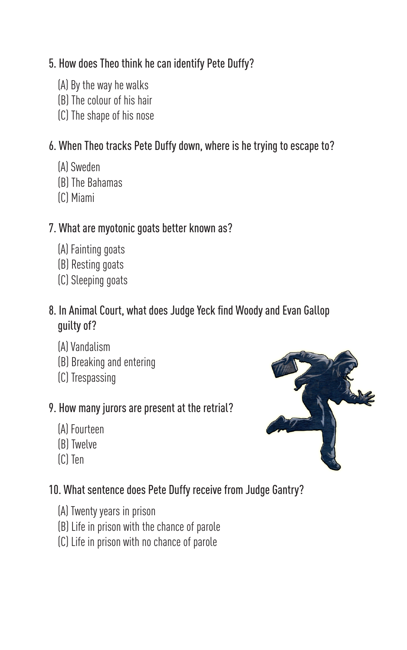#### 5. How does Theo think he can identify Pete Duffy?

- (A) By the way he walks
- (B) The colour of his hair
- (C) The shape of his nose

#### 6. When Theo tracks Pete Duffy down, where is he trying to escape to?

- (A) Sweden
- (B) The Bahamas
- (C) Miami

#### 7. What are myotonic goats better known as?

- (A) Fainting goats
- (B) Resting goats
- (C) Sleeping goats

#### 8. In Animal Court, what does Judge Yeck find Woody and Evan Gallop guilty of?

- (A) Vandalism
- (B) Breaking and entering
- (C) Trespassing

#### 9. How many jurors are present at the retrial?

- (A) Fourteen
- (B) Twelve
- (C) Ten

### 10. What sentence does Pete Duffy receive from Judge Gantry?

- (A) Twenty years in prison
- (B) Life in prison with the chance of parole
- (C) Life in prison with no chance of parole